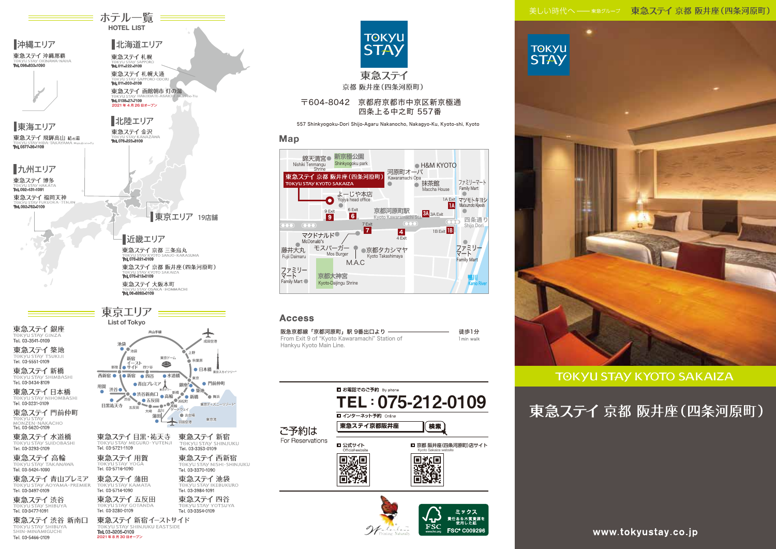美しい時代へ -- 東急グループ 東急ステイ 京都 阪井座 (四条河原町)





**TOKYU** 



#### **Access**

Map

Nishiki Tenmangu

| 阪急京都線「京都河原町」駅 9番出口より ―                        | 徒歩1分       |
|-----------------------------------------------|------------|
| From Exit 9 of "Kyoto Kawaramachi" Station of | 1 min walk |
| Hankvu Kvoto Main Line.                       |            |

| ご予約は<br>For Reservations | ■ お電話でのご予約 By phone<br>TEL: 075-212-0109<br>■ インターネット予約 Online<br>東急ステイ京都阪井座<br>検索 |                                                                    |  |
|--------------------------|------------------------------------------------------------------------------------|--------------------------------------------------------------------|--|
|                          | ■ 公式サイト<br>Official website                                                        | 京都 阪井座(四条河原町)店サイト<br>Kyoto Sakaiza website                         |  |
|                          |                                                                                    | ミックス<br>責任ある木質資源を<br>- 使用した紙<br><b>FSC® C009296</b><br>www.fsc.org |  |



# **TOKYU STAY KYOTO SAKAIZA**

東急ステイ 京都 阪井座(四条河原町)

www.tokyustay.co.jp